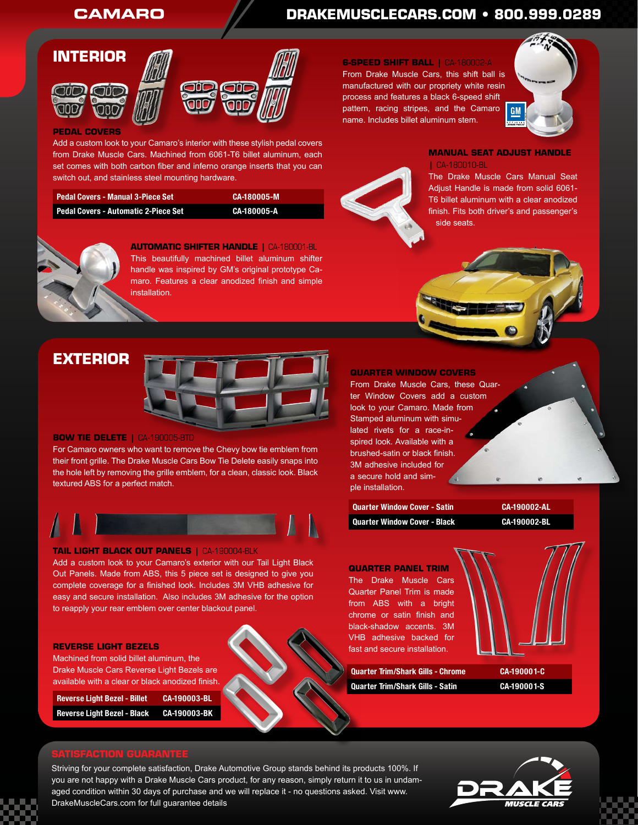# **CAMARO DRAKEMUSCLECARS.COM • 800.999.0289**





### **PEDAL COVERS**

Add a custom look to your Camaro's interior with these stylish pedal covers from Drake Muscle Cars. Machined from 6061-T6 billet aluminum, each set comes with both carbon fiber and inferno orange inserts that you can switch out, and stainless steel mounting hardware.

| 'Pedal Covers - Manual 3-Piece Set   | CA-180005-M |
|--------------------------------------|-------------|
| Pedal Covers - Automatic 2-Piece Set | CA-180005-A |



**AUTOMATIC SHIFTER HANDLE |** CA-180001-BL This beautifully machined billet aluminum shifter handle was inspired by GM's original prototype Camaro. Features a clear anodized finish and simple installation.

#### **6-SPEED SHIFT BALL |** CA-180002-A

From Drake Muscle Cars, this shift ball is manufactured with our propriety white resin process and features a black 6-speed shift pattern, racing stripes, and the Camaro name. Includes billet aluminum stem.



**MANUAL SEAT ADJUST HANDLE |** CA-180010-BL

The Drake Muscle Cars Manual Seat Adjust Handle is made from solid 6061- T6 billet aluminum with a clear anodized finish. Fits both driver's and passenger's side seats.

## **EXTERIOR**



### **BOW TIE DELETE |** CA-190005-BTD

For Camaro owners who want to remove the Chevy bow tie emblem from their front grille. The Drake Muscle Cars Bow Tie Delete easily snaps into the hole left by removing the grille emblem, for a clean, classic look. Black textured ABS for a perfect match.



### **TAIL LIGHT BLACK OUT PANELS |** CA-190004-BLK

Add a custom look to your Camaro's exterior with our Tail Light Black Out Panels. Made from ABS, this 5 piece set is designed to give you complete coverage for a finished look. Includes 3M VHB adhesive for easy and secure installation. Also includes 3M adhesive for the option to reapply your rear emblem over center blackout panel.

#### **REVERSE LIGHT BEZELS**

Machined from solid billet aluminum, the Drake Muscle Cars Reverse Light Bezels are available with a clear or black anodized finish.

**Reverse Light Bezel - Billet CA-190003-BL**

**Reverse Light Bezel - Black CA-190003-BK**

#### **QUARTER WINDOW COVERS**

From Drake Muscle Cars, these Quarter Window Covers add a custom look to your Camaro. Made from Stamped aluminum with simulated rivets for a race-inspired look. Available with a brushed-satin or black finish. 3M adhesive included for a secure hold and simple installation.

| Quarter Window Cover - Satin | CA-190002-AL |
|------------------------------|--------------|
| Quarter Window Cover - Black | CA-190002-BL |

**QUARTER PANEL TRIM** The Drake Muscle Cars Quarter Panel Trim is made from ABS with a bright chrome or satin finish and black-shadow accents. 3M VHB adhesive backed for fast and secure installation.

**Quarter Trim/Shark Gills - Chrome CA-190001-C Quarter Trim/Shark Gills - Satin CA-190001-S**



Striving for your complete satisfaction, Drake Automotive Group stands behind its products 100%. If you are not happy with a Drake Muscle Cars product, for any reason, simply return it to us in undamaged condition within 30 days of purchase and we will replace it - no questions asked. Visit www. DrakeMuscleCars.com for full guarantee details